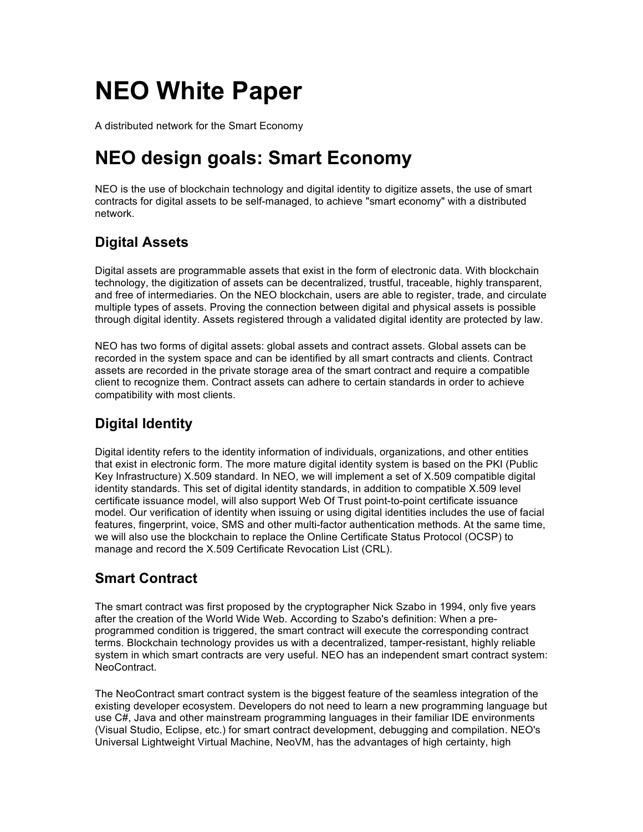# **NEO White Paper**

A distributed network for the Smart Economy

## **NEO design goals: Smart Economy**

NEO is the use of blockchain technology and digital identity to digitize assets, the use of smart contracts for digital assets to be self-managed, to achieve "smart economy" with a distributed network.

## **Digital Assets**

Digital assets are programmable assets that exist in the form of electronic data. With blockchain technology, the digitization of assets can be decentralized, trustful, traceable, highly transparent, and free of intermediaries. On the NEO blockchain, users are able to register, trade, and circulate multiple types of assets. Proving the connection between digital and physical assets is possible through digital identity. Assets registered through a validated digital identity are protected by law.

NEO has two forms of digital assets: global assets and contract assets. Global assets can be recorded in the system space and can be identified by all smart contracts and clients. Contract assets are recorded in the private storage area of the smart contract and require a compatible client to recognize them. Contract assets can adhere to certain standards in order to achieve compatibility with most clients.

## **Digital Identity**

Digital identity refers to the identity information of individuals, organizations, and other entities that exist in electronic form. The more mature digital identity system is based on the PKI (Public Key Infrastructure) X.509 standard. In NEO, we will implement a set of X.509 compatible digital identity standards. This set of digital identity standards, in addition to compatible X.509 level certificate issuance model, will also support Web Of Trust point-to-point certificate issuance model. Our verification of identity when issuing or using digital identities includes the use of facial features, fingerprint, voice, SMS and other multi-factor authentication methods. At the same time, we will also use the blockchain to replace the Online Certificate Status Protocol (OCSP) to manage and record the X.509 Certificate Revocation List (CRL).

## **Smart Contract**

The smart contract was first proposed by the cryptographer Nick Szabo in 1994, only five years after the creation of the World Wide Web. According to Szabo's definition: When a preprogrammed condition is triggered, the smart contract will execute the corresponding contract terms. Blockchain technology provides us with a decentralized, tamper-resistant, highly reliable system in which smart contracts are very useful. NEO has an independent smart contract system: NeoContract.

The NeoContract smart contract system is the biggest feature of the seamless integration of the existing developer ecosystem. Developers do not need to learn a new programming language but use C#, Java and other mainstream programming languages in their familiar IDE environments (Visual Studio, Eclipse, etc.) for smart contract development, debugging and compilation. NEO's Universal Lightweight Virtual Machine, NeoVM, has the advantages of high certainty, high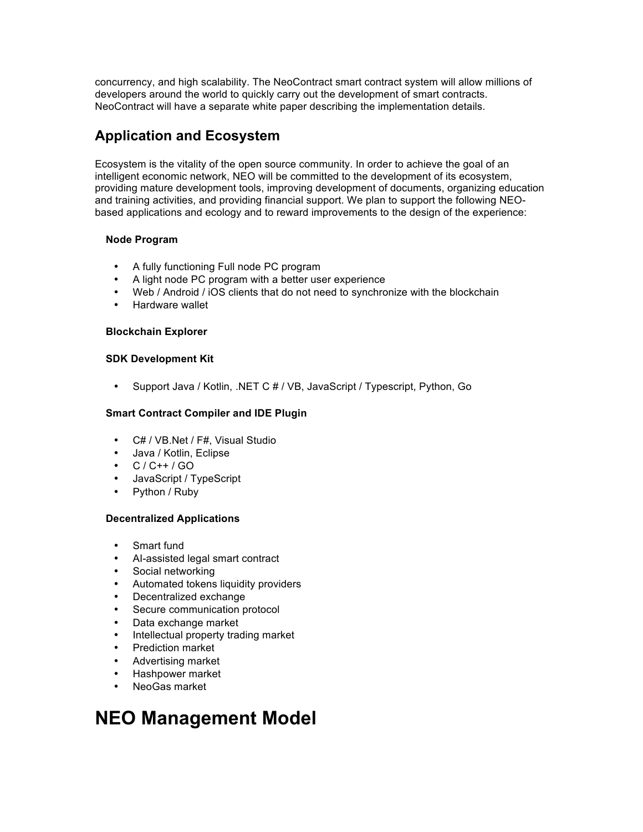concurrency, and high scalability. The NeoContract smart contract system will allow millions of developers around the world to quickly carry out the development of smart contracts. NeoContract will have a separate white paper describing the implementation details.

## **Application and Ecosystem**

Ecosystem is the vitality of the open source community. In order to achieve the goal of an intelligent economic network, NEO will be committed to the development of its ecosystem, providing mature development tools, improving development of documents, organizing education and training activities, and providing financial support. We plan to support the following NEObased applications and ecology and to reward improvements to the design of the experience:

### **Node Program**

- A fully functioning Full node PC program
- A light node PC program with a better user experience
- Web / Android / iOS clients that do not need to synchronize with the blockchain
- Hardware wallet

### **Blockchain Explorer**

### **SDK Development Kit**

• Support Java / Kotlin, .NET C # / VB, JavaScript / Typescript, Python, Go

### **Smart Contract Compiler and IDE Plugin**

- C# / VB.Net / F#, Visual Studio
- Java / Kotlin, Eclipse
- C / C++ / GO
- JavaScript / TypeScript
- Python / Ruby

### **Decentralized Applications**

- Smart fund
- AI-assisted legal smart contract
- Social networking
- Automated tokens liquidity providers
- Decentralized exchange
- Secure communication protocol
- Data exchange market
- Intellectual property trading market
- Prediction market
- Advertising market
- Hashpower market
- NeoGas market

## **NEO Management Model**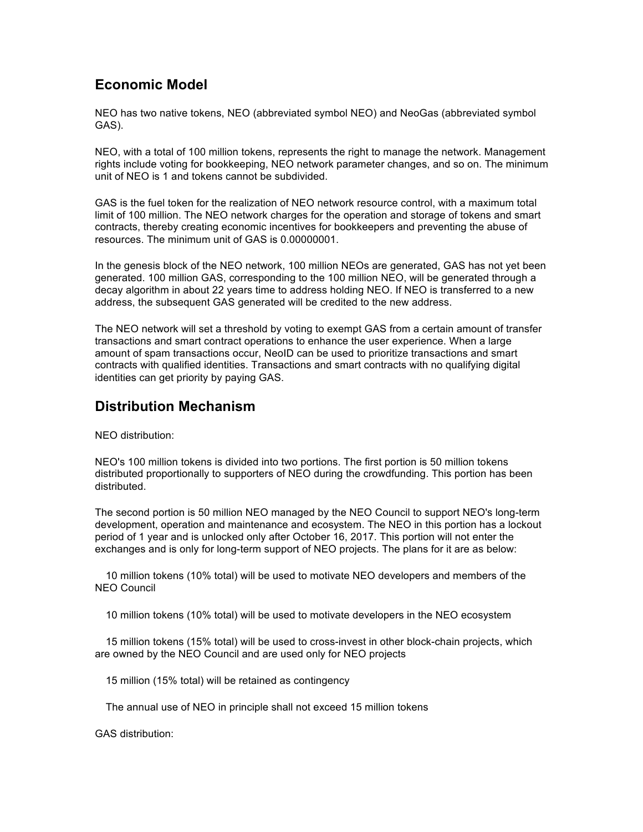## **Economic Model**

NEO has two native tokens, NEO (abbreviated symbol NEO) and NeoGas (abbreviated symbol GAS).

NEO, with a total of 100 million tokens, represents the right to manage the network. Management rights include voting for bookkeeping, NEO network parameter changes, and so on. The minimum unit of NEO is 1 and tokens cannot be subdivided.

GAS is the fuel token for the realization of NEO network resource control, with a maximum total limit of 100 million. The NEO network charges for the operation and storage of tokens and smart contracts, thereby creating economic incentives for bookkeepers and preventing the abuse of resources. The minimum unit of GAS is 0.00000001.

In the genesis block of the NEO network, 100 million NEOs are generated, GAS has not yet been generated. 100 million GAS, corresponding to the 100 million NEO, will be generated through a decay algorithm in about 22 years time to address holding NEO. If NEO is transferred to a new address, the subsequent GAS generated will be credited to the new address.

The NEO network will set a threshold by voting to exempt GAS from a certain amount of transfer transactions and smart contract operations to enhance the user experience. When a large amount of spam transactions occur, NeoID can be used to prioritize transactions and smart contracts with qualified identities. Transactions and smart contracts with no qualifying digital identities can get priority by paying GAS.

## **Distribution Mechanism**

NEO distribution:

NEO's 100 million tokens is divided into two portions. The first portion is 50 million tokens distributed proportionally to supporters of NEO during the crowdfunding. This portion has been distributed.

The second portion is 50 million NEO managed by the NEO Council to support NEO's long-term development, operation and maintenance and ecosystem. The NEO in this portion has a lockout period of 1 year and is unlocked only after October 16, 2017. This portion will not enter the exchanges and is only for long-term support of NEO projects. The plans for it are as below:

 10 million tokens (10% total) will be used to motivate NEO developers and members of the NEO Council

10 million tokens (10% total) will be used to motivate developers in the NEO ecosystem

 15 million tokens (15% total) will be used to cross-invest in other block-chain projects, which are owned by the NEO Council and are used only for NEO projects

15 million (15% total) will be retained as contingency

The annual use of NEO in principle shall not exceed 15 million tokens

GAS distribution: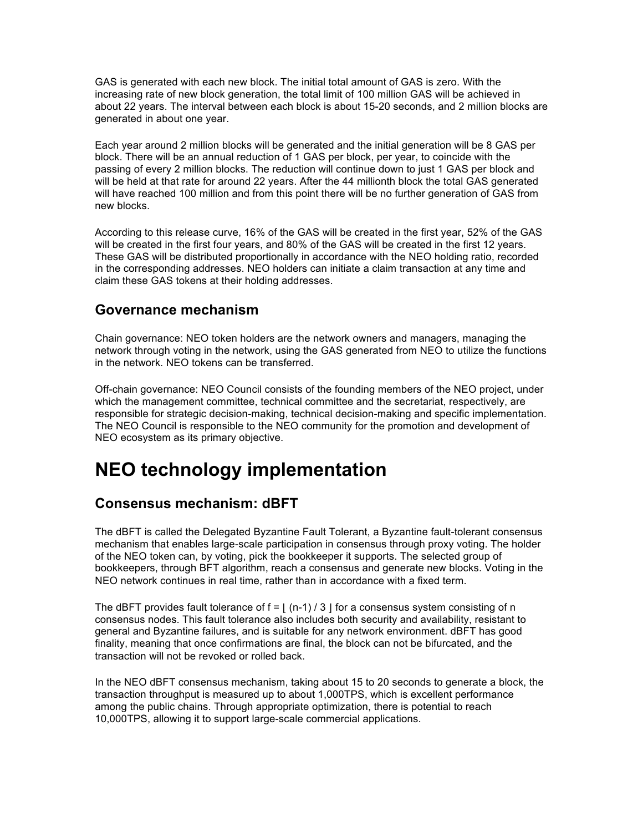GAS is generated with each new block. The initial total amount of GAS is zero. With the increasing rate of new block generation, the total limit of 100 million GAS will be achieved in about 22 years. The interval between each block is about 15-20 seconds, and 2 million blocks are generated in about one year.

Each year around 2 million blocks will be generated and the initial generation will be 8 GAS per block. There will be an annual reduction of 1 GAS per block, per year, to coincide with the passing of every 2 million blocks. The reduction will continue down to just 1 GAS per block and will be held at that rate for around 22 years. After the 44 millionth block the total GAS generated will have reached 100 million and from this point there will be no further generation of GAS from new blocks.

According to this release curve, 16% of the GAS will be created in the first year, 52% of the GAS will be created in the first four years, and 80% of the GAS will be created in the first 12 years. These GAS will be distributed proportionally in accordance with the NEO holding ratio, recorded in the corresponding addresses. NEO holders can initiate a claim transaction at any time and claim these GAS tokens at their holding addresses.

### **Governance mechanism**

Chain governance: NEO token holders are the network owners and managers, managing the network through voting in the network, using the GAS generated from NEO to utilize the functions in the network. NEO tokens can be transferred.

Off-chain governance: NEO Council consists of the founding members of the NEO project, under which the management committee, technical committee and the secretariat, respectively, are responsible for strategic decision-making, technical decision-making and specific implementation. The NEO Council is responsible to the NEO community for the promotion and development of NEO ecosystem as its primary objective.

## **NEO technology implementation**

## **Consensus mechanism: dBFT**

The dBFT is called the Delegated Byzantine Fault Tolerant, a Byzantine fault-tolerant consensus mechanism that enables large-scale participation in consensus through proxy voting. The holder of the NEO token can, by voting, pick the bookkeeper it supports. The selected group of bookkeepers, through BFT algorithm, reach a consensus and generate new blocks. Voting in the NEO network continues in real time, rather than in accordance with a fixed term.

The dBFT provides fault tolerance of  $f = \frac{1}{n-1}$  / 3  $\frac{1}{1}$  for a consensus system consisting of n consensus nodes. This fault tolerance also includes both security and availability, resistant to general and Byzantine failures, and is suitable for any network environment. dBFT has good finality, meaning that once confirmations are final, the block can not be bifurcated, and the transaction will not be revoked or rolled back.

In the NEO dBFT consensus mechanism, taking about 15 to 20 seconds to generate a block, the transaction throughput is measured up to about 1,000TPS, which is excellent performance among the public chains. Through appropriate optimization, there is potential to reach 10,000TPS, allowing it to support large-scale commercial applications.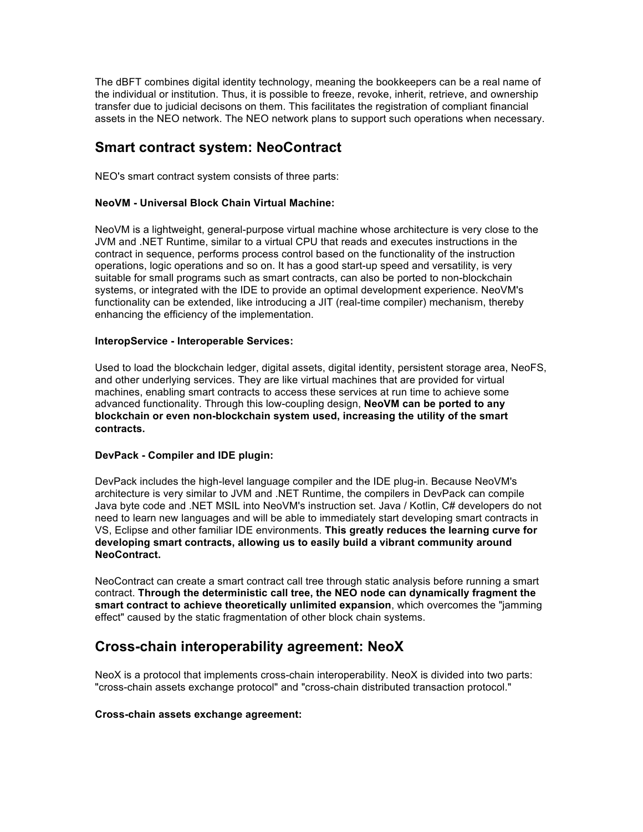The dBFT combines digital identity technology, meaning the bookkeepers can be a real name of the individual or institution. Thus, it is possible to freeze, revoke, inherit, retrieve, and ownership transfer due to judicial decisons on them. This facilitates the registration of compliant financial assets in the NEO network. The NEO network plans to support such operations when necessary.

### **Smart contract system: NeoContract**

NEO's smart contract system consists of three parts:

#### **NeoVM - Universal Block Chain Virtual Machine:**

NeoVM is a lightweight, general-purpose virtual machine whose architecture is very close to the JVM and .NET Runtime, similar to a virtual CPU that reads and executes instructions in the contract in sequence, performs process control based on the functionality of the instruction operations, logic operations and so on. It has a good start-up speed and versatility, is very suitable for small programs such as smart contracts, can also be ported to non-blockchain systems, or integrated with the IDE to provide an optimal development experience. NeoVM's functionality can be extended, like introducing a JIT (real-time compiler) mechanism, thereby enhancing the efficiency of the implementation.

#### **InteropService - Interoperable Services:**

Used to load the blockchain ledger, digital assets, digital identity, persistent storage area, NeoFS, and other underlying services. They are like virtual machines that are provided for virtual machines, enabling smart contracts to access these services at run time to achieve some advanced functionality. Through this low-coupling design, **NeoVM can be ported to any blockchain or even non-blockchain system used, increasing the utility of the smart contracts.**

#### **DevPack - Compiler and IDE plugin:**

DevPack includes the high-level language compiler and the IDE plug-in. Because NeoVM's architecture is very similar to JVM and .NET Runtime, the compilers in DevPack can compile Java byte code and .NET MSIL into NeoVM's instruction set. Java / Kotlin, C# developers do not need to learn new languages and will be able to immediately start developing smart contracts in VS, Eclipse and other familiar IDE environments. **This greatly reduces the learning curve for developing smart contracts, allowing us to easily build a vibrant community around NeoContract.**

NeoContract can create a smart contract call tree through static analysis before running a smart contract. **Through the deterministic call tree, the NEO node can dynamically fragment the smart contract to achieve theoretically unlimited expansion**, which overcomes the "jamming effect" caused by the static fragmentation of other block chain systems.

### **Cross-chain interoperability agreement: NeoX**

NeoX is a protocol that implements cross-chain interoperability. NeoX is divided into two parts: "cross-chain assets exchange protocol" and "cross-chain distributed transaction protocol."

#### **Cross-chain assets exchange agreement:**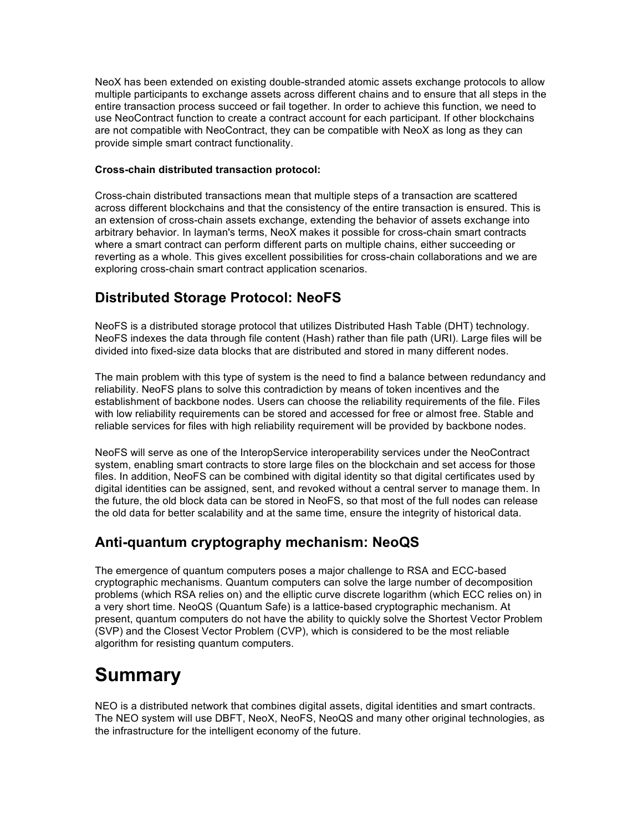NeoX has been extended on existing double-stranded atomic assets exchange protocols to allow multiple participants to exchange assets across different chains and to ensure that all steps in the entire transaction process succeed or fail together. In order to achieve this function, we need to use NeoContract function to create a contract account for each participant. If other blockchains are not compatible with NeoContract, they can be compatible with NeoX as long as they can provide simple smart contract functionality.

### **Cross-chain distributed transaction protocol:**

Cross-chain distributed transactions mean that multiple steps of a transaction are scattered across different blockchains and that the consistency of the entire transaction is ensured. This is an extension of cross-chain assets exchange, extending the behavior of assets exchange into arbitrary behavior. In layman's terms, NeoX makes it possible for cross-chain smart contracts where a smart contract can perform different parts on multiple chains, either succeeding or reverting as a whole. This gives excellent possibilities for cross-chain collaborations and we are exploring cross-chain smart contract application scenarios.

## **Distributed Storage Protocol: NeoFS**

NeoFS is a distributed storage protocol that utilizes Distributed Hash Table (DHT) technology. NeoFS indexes the data through file content (Hash) rather than file path (URI). Large files will be divided into fixed-size data blocks that are distributed and stored in many different nodes.

The main problem with this type of system is the need to find a balance between redundancy and reliability. NeoFS plans to solve this contradiction by means of token incentives and the establishment of backbone nodes. Users can choose the reliability requirements of the file. Files with low reliability requirements can be stored and accessed for free or almost free. Stable and reliable services for files with high reliability requirement will be provided by backbone nodes.

NeoFS will serve as one of the InteropService interoperability services under the NeoContract system, enabling smart contracts to store large files on the blockchain and set access for those files. In addition, NeoFS can be combined with digital identity so that digital certificates used by digital identities can be assigned, sent, and revoked without a central server to manage them. In the future, the old block data can be stored in NeoFS, so that most of the full nodes can release the old data for better scalability and at the same time, ensure the integrity of historical data.

## **Anti-quantum cryptography mechanism: NeoQS**

The emergence of quantum computers poses a major challenge to RSA and ECC-based cryptographic mechanisms. Quantum computers can solve the large number of decomposition problems (which RSA relies on) and the elliptic curve discrete logarithm (which ECC relies on) in a very short time. NeoQS (Quantum Safe) is a lattice-based cryptographic mechanism. At present, quantum computers do not have the ability to quickly solve the Shortest Vector Problem (SVP) and the Closest Vector Problem (CVP), which is considered to be the most reliable algorithm for resisting quantum computers.

## **Summary**

NEO is a distributed network that combines digital assets, digital identities and smart contracts. The NEO system will use DBFT, NeoX, NeoFS, NeoQS and many other original technologies, as the infrastructure for the intelligent economy of the future.